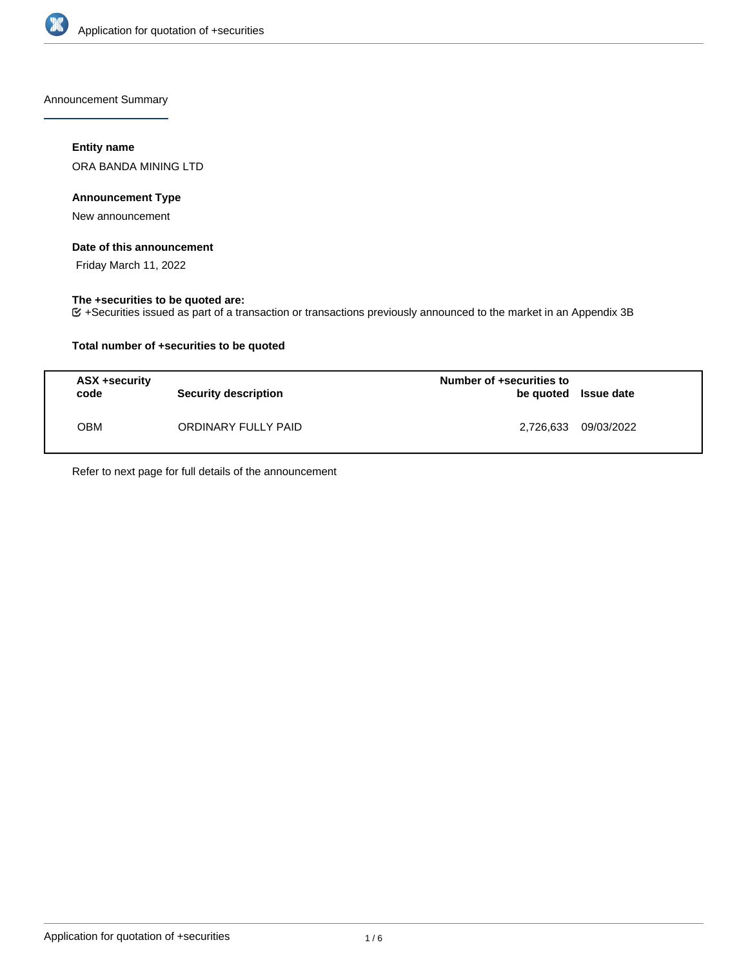

Announcement Summary

## **Entity name**

ORA BANDA MINING LTD

## **Announcement Type**

New announcement

### **Date of this announcement**

Friday March 11, 2022

## **The +securities to be quoted are:**

+Securities issued as part of a transaction or transactions previously announced to the market in an Appendix 3B

## **Total number of +securities to be quoted**

| <b>ASX +security</b><br>code | <b>Security description</b> | Number of +securities to<br>be quoted Issue date |            |
|------------------------------|-----------------------------|--------------------------------------------------|------------|
| ОВМ                          | ORDINARY FULLY PAID         | 2,726,633                                        | 09/03/2022 |

Refer to next page for full details of the announcement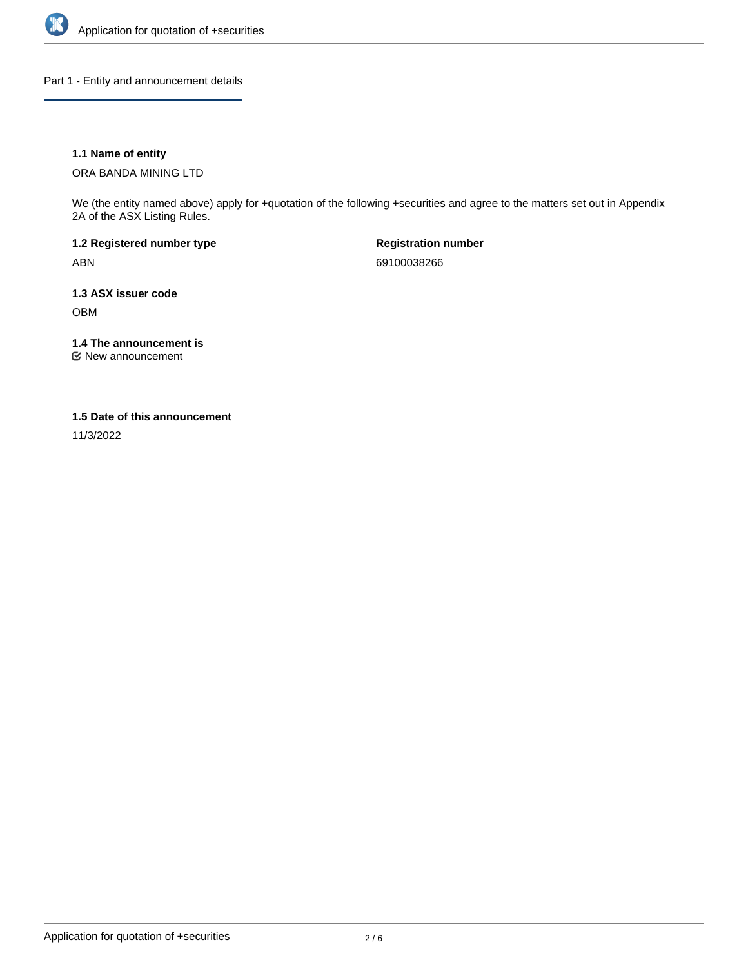

Part 1 - Entity and announcement details

## **1.1 Name of entity**

ORA BANDA MINING LTD

We (the entity named above) apply for +quotation of the following +securities and agree to the matters set out in Appendix 2A of the ASX Listing Rules.

**1.2 Registered number type** ABN

**Registration number** 69100038266

**1.3 ASX issuer code** OBM

**1.4 The announcement is**

New announcement

### **1.5 Date of this announcement**

11/3/2022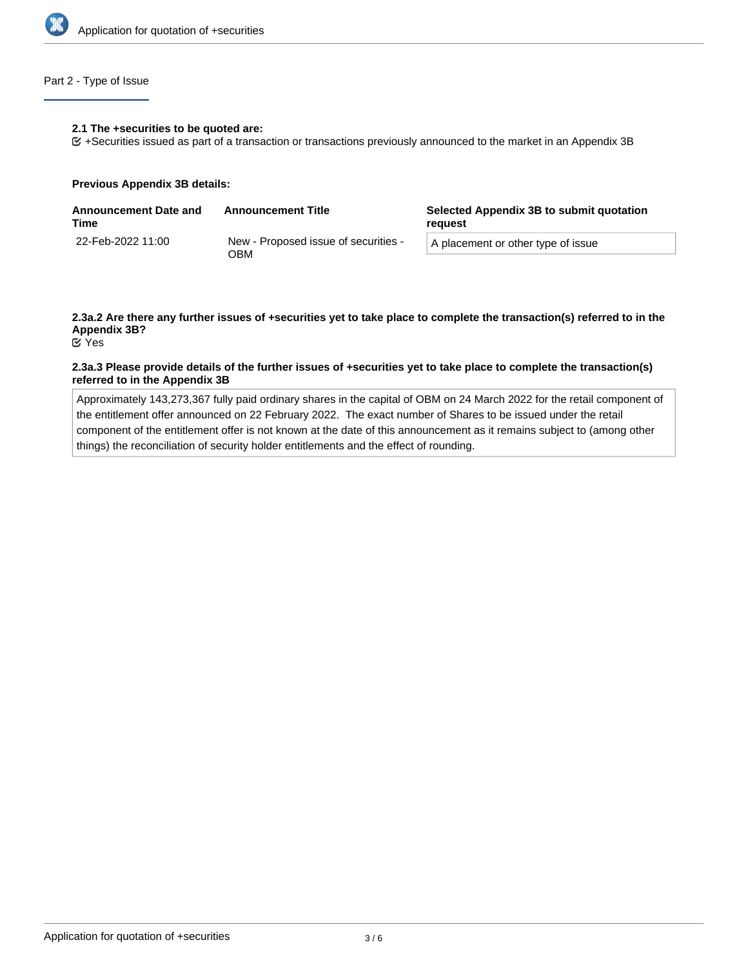

# Part 2 - Type of Issue

#### **2.1 The +securities to be quoted are:**

+Securities issued as part of a transaction or transactions previously announced to the market in an Appendix 3B

#### **Previous Appendix 3B details:**

| <b>Announcement Date and</b><br>Time | <b>Announcement Title</b>                   | Selected Appendix 3B to submit quotation<br>reguest |  |
|--------------------------------------|---------------------------------------------|-----------------------------------------------------|--|
| 22-Feb-2022 11:00                    | New - Proposed issue of securities -<br>วBM | A placement or other type of issue                  |  |

# **2.3a.2 Are there any further issues of +securities yet to take place to complete the transaction(s) referred to in the Appendix 3B?**

Yes

### **2.3a.3 Please provide details of the further issues of +securities yet to take place to complete the transaction(s) referred to in the Appendix 3B**

Approximately 143,273,367 fully paid ordinary shares in the capital of OBM on 24 March 2022 for the retail component of the entitlement offer announced on 22 February 2022. The exact number of Shares to be issued under the retail component of the entitlement offer is not known at the date of this announcement as it remains subject to (among other things) the reconciliation of security holder entitlements and the effect of rounding.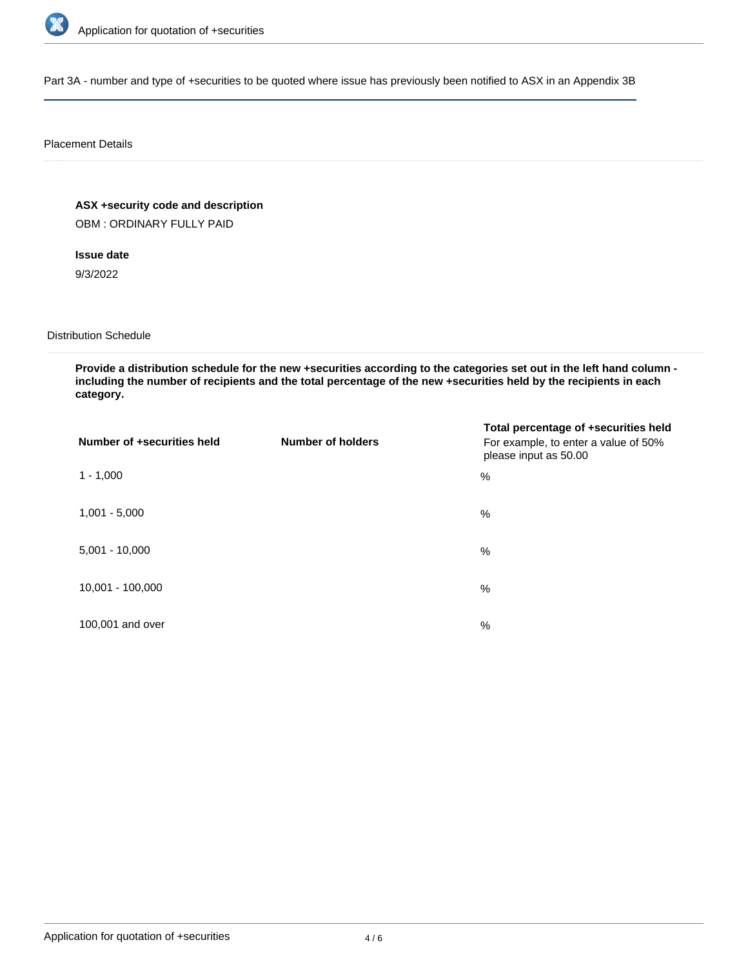

Part 3A - number and type of +securities to be quoted where issue has previously been notified to ASX in an Appendix 3B

#### Placement Details

**ASX +security code and description**

OBM : ORDINARY FULLY PAID

**Issue date**

9/3/2022

Distribution Schedule

**Provide a distribution schedule for the new +securities according to the categories set out in the left hand column including the number of recipients and the total percentage of the new +securities held by the recipients in each category.**

| Number of +securities held | <b>Number of holders</b> | Total percentage of +securities held<br>For example, to enter a value of 50%<br>please input as 50.00 |
|----------------------------|--------------------------|-------------------------------------------------------------------------------------------------------|
| $1 - 1,000$                |                          | %                                                                                                     |
| $1,001 - 5,000$            |                          | $\%$                                                                                                  |
| $5,001 - 10,000$           |                          | %                                                                                                     |
| 10,001 - 100,000           |                          | $\%$                                                                                                  |
| 100,001 and over           |                          | $\%$                                                                                                  |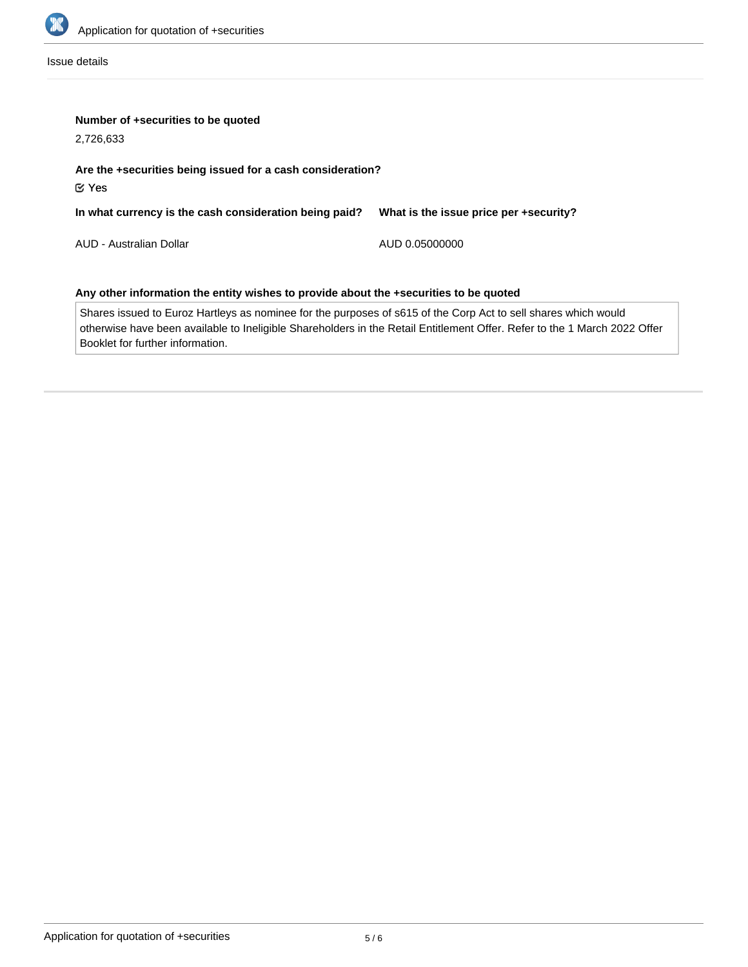

Issue details

|  |  | Number of +securities to be quoted |  |  |  |
|--|--|------------------------------------|--|--|--|
|--|--|------------------------------------|--|--|--|

2,726,633

# **Are the +securities being issued for a cash consideration?** Yes

| In what currency is the cash consideration being paid? | What is the issue price per +security? |
|--------------------------------------------------------|----------------------------------------|
|                                                        |                                        |

AUD - Australian Dollar

AUD 0.05000000

# **Any other information the entity wishes to provide about the +securities to be quoted**

Shares issued to Euroz Hartleys as nominee for the purposes of s615 of the Corp Act to sell shares which would otherwise have been available to Ineligible Shareholders in the Retail Entitlement Offer. Refer to the 1 March 2022 Offer Booklet for further information.